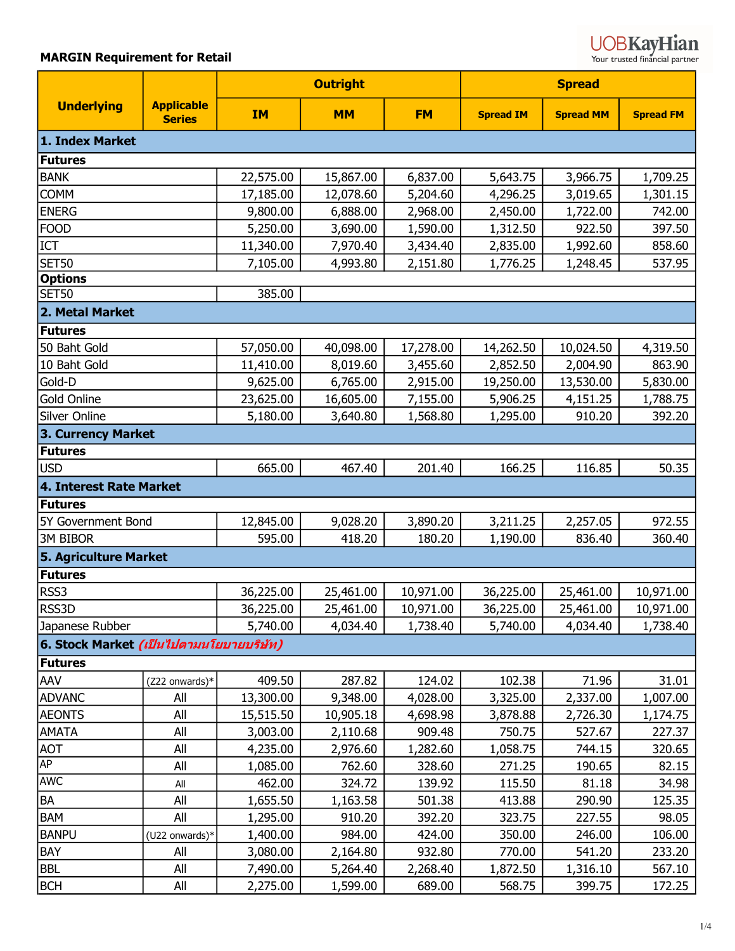| <b>UOBKavHian</b>              |
|--------------------------------|
| Your tructed financial partner |

Your trusted fina<mark>ncial partner</mark>

|                                                |                                    | <b>Outright</b> |           |           | <b>Spread</b>    |                  |                  |  |
|------------------------------------------------|------------------------------------|-----------------|-----------|-----------|------------------|------------------|------------------|--|
| <b>Underlying</b>                              | <b>Applicable</b><br><b>Series</b> | <b>IM</b>       | <b>MM</b> | <b>FM</b> | <b>Spread IM</b> | <b>Spread MM</b> | <b>Spread FM</b> |  |
| 1. Index Market                                |                                    |                 |           |           |                  |                  |                  |  |
| Futures                                        |                                    |                 |           |           |                  |                  |                  |  |
| <b>BANK</b>                                    |                                    | 22,575.00       | 15,867.00 | 6,837.00  | 5,643.75         | 3,966.75         | 1,709.25         |  |
| <b>COMM</b>                                    |                                    | 17,185.00       | 12,078.60 | 5,204.60  | 4,296.25         | 3,019.65         | 1,301.15         |  |
| <b>ENERG</b>                                   |                                    | 9,800.00        | 6,888.00  | 2,968.00  | 2,450.00         | 1,722.00         | 742.00           |  |
| <b>FOOD</b>                                    |                                    | 5,250.00        | 3,690.00  | 1,590.00  | 1,312.50         | 922.50           | 397.50           |  |
| <b>ICT</b>                                     |                                    | 11,340.00       | 7,970.40  | 3,434.40  | 2,835.00         | 1,992.60         | 858.60           |  |
| <b>SET50</b>                                   |                                    | 7,105.00        | 4,993.80  | 2,151.80  | 1,776.25         | 1,248.45         | 537.95           |  |
| <b>Options</b>                                 |                                    |                 |           |           |                  |                  |                  |  |
| <b>SET50</b>                                   |                                    | 385.00          |           |           |                  |                  |                  |  |
| 2. Metal Market                                |                                    |                 |           |           |                  |                  |                  |  |
| Futures                                        |                                    |                 |           |           |                  |                  |                  |  |
| 50 Baht Gold                                   |                                    | 57,050.00       | 40,098.00 | 17,278.00 | 14,262.50        | 10,024.50        | 4,319.50         |  |
| 10 Baht Gold                                   |                                    | 11,410.00       | 8,019.60  | 3,455.60  | 2,852.50         | 2,004.90         | 863.90           |  |
| Gold-D                                         |                                    | 9,625.00        | 6,765.00  | 2,915.00  | 19,250.00        | 13,530.00        | 5,830.00         |  |
| Gold Online                                    |                                    | 23,625.00       | 16,605.00 | 7,155.00  | 5,906.25         | 4,151.25         | 1,788.75         |  |
| Silver Online                                  |                                    | 5,180.00        | 3,640.80  | 1,568.80  | 1,295.00         | 910.20           | 392.20           |  |
| 3. Currency Market                             |                                    |                 |           |           |                  |                  |                  |  |
| <b>Futures</b>                                 |                                    |                 |           |           |                  |                  |                  |  |
| <b>USD</b>                                     |                                    | 665.00          | 467.40    | 201.40    | 166.25           | 116.85           | 50.35            |  |
| 4. Interest Rate Market                        |                                    |                 |           |           |                  |                  |                  |  |
| Futures                                        |                                    |                 |           |           |                  |                  |                  |  |
| 5Y Government Bond                             |                                    | 12,845.00       | 9,028.20  | 3,890.20  | 3,211.25         | 2,257.05         | 972.55           |  |
| <b>3M BIBOR</b>                                |                                    | 595.00          | 418.20    | 180.20    | 1,190.00         | 836.40           | 360.40           |  |
| 5. Agriculture Market                          |                                    |                 |           |           |                  |                  |                  |  |
| <b>Futures</b>                                 |                                    |                 |           |           |                  |                  |                  |  |
| RSS3                                           |                                    | 36,225.00       | 25,461.00 | 10,971.00 | 36,225.00        | 25,461.00        | 10,971.00        |  |
| RSS3D                                          |                                    | 36,225.00       | 25,461.00 | 10,971.00 | 36,225.00        | 25,461.00        | 10,971.00        |  |
| Japanese Rubber                                |                                    | 5,740.00        | 4,034.40  | 1,738.40  | 5,740.00         | 4,034.40         | 1,738.40         |  |
| 6. Stock Market <i>(เป็นไปตามนโยบายบริษัท)</i> |                                    |                 |           |           |                  |                  |                  |  |
| Futures                                        |                                    |                 |           |           |                  |                  |                  |  |
| AAV                                            | (Z22 onwards)*                     | 409.50          | 287.82    | 124.02    | 102.38           | 71.96            | 31.01            |  |
| <b>ADVANC</b>                                  | All                                | 13,300.00       | 9,348.00  | 4,028.00  | 3,325.00         | 2,337.00         | 1,007.00         |  |
| <b>AEONTS</b>                                  | All                                | 15,515.50       | 10,905.18 | 4,698.98  | 3,878.88         | 2,726.30         | 1,174.75         |  |
| <b>AMATA</b>                                   | All                                | 3,003.00        | 2,110.68  | 909.48    | 750.75           | 527.67           | 227.37           |  |
| <b>AOT</b>                                     | All                                | 4,235.00        | 2,976.60  | 1,282.60  | 1,058.75         | 744.15           | 320.65           |  |
| <b>AP</b>                                      | All                                | 1,085.00        | 762.60    | 328.60    | 271.25           | 190.65           | 82.15            |  |
| <b>AWC</b>                                     | All                                | 462.00          | 324.72    | 139.92    | 115.50           | 81.18            | 34.98            |  |
| <b>BA</b>                                      | All                                | 1,655.50        | 1,163.58  | 501.38    | 413.88           | 290.90           | 125.35           |  |
| <b>BAM</b>                                     | All                                | 1,295.00        | 910.20    | 392.20    | 323.75           | 227.55           | 98.05            |  |
| <b>BANPU</b>                                   | (U22 onwards)*                     | 1,400.00        | 984.00    | 424.00    | 350.00           | 246.00           | 106.00           |  |
| <b>BAY</b>                                     | All                                | 3,080.00        | 2,164.80  | 932.80    | 770.00           | 541.20           | 233.20           |  |
| <b>BBL</b>                                     | All                                | 7,490.00        | 5,264.40  | 2,268.40  | 1,872.50         | 1,316.10         | 567.10           |  |
| <b>BCH</b>                                     | All                                | 2,275.00        | 1,599.00  | 689.00    | 568.75           | 399.75           | 172.25           |  |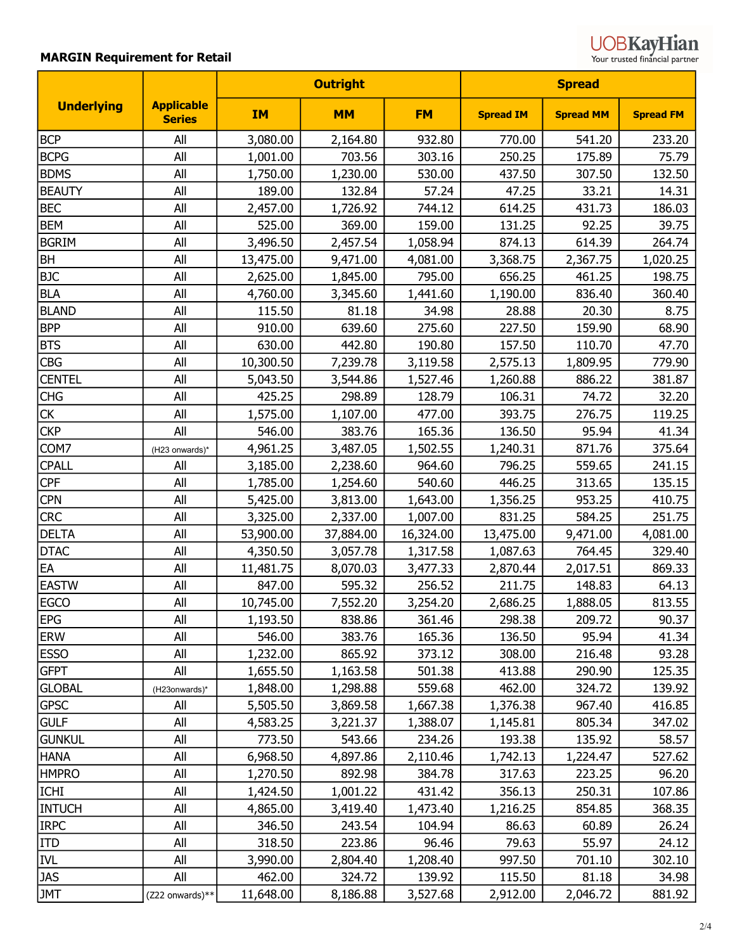| <b>UOBKayHian</b>              |
|--------------------------------|
| Your trusted financial partner |

|                   |                                    | <b>Outright</b> |           |           | <b>Spread</b>    |                  |                  |
|-------------------|------------------------------------|-----------------|-----------|-----------|------------------|------------------|------------------|
| <b>Underlying</b> | <b>Applicable</b><br><b>Series</b> | <b>IM</b>       | <b>MM</b> | <b>FM</b> | <b>Spread IM</b> | <b>Spread MM</b> | <b>Spread FM</b> |
| <b>BCP</b>        | All                                | 3,080.00        | 2,164.80  | 932.80    | 770.00           | 541.20           | 233.20           |
| <b>BCPG</b>       | All                                | 1,001.00        | 703.56    | 303.16    | 250.25           | 175.89           | 75.79            |
| <b>BDMS</b>       | All                                | 1,750.00        | 1,230.00  | 530.00    | 437.50           | 307.50           | 132.50           |
| <b>BEAUTY</b>     | All                                | 189.00          | 132.84    | 57.24     | 47.25            | 33.21            | 14.31            |
| <b>BEC</b>        | All                                | 2,457.00        | 1,726.92  | 744.12    | 614.25           | 431.73           | 186.03           |
| <b>BEM</b>        | All                                | 525.00          | 369.00    | 159.00    | 131.25           | 92.25            | 39.75            |
| <b>BGRIM</b>      | All                                | 3,496.50        | 2,457.54  | 1,058.94  | 874.13           | 614.39           | 264.74           |
| <b>BH</b>         | All                                | 13,475.00       | 9,471.00  | 4,081.00  | 3,368.75         | 2,367.75         | 1,020.25         |
| <b>BJC</b>        | All                                | 2,625.00        | 1,845.00  | 795.00    | 656.25           | 461.25           | 198.75           |
| <b>BLA</b>        | All                                | 4,760.00        | 3,345.60  | 1,441.60  | 1,190.00         | 836.40           | 360.40           |
| <b>BLAND</b>      | All                                | 115.50          | 81.18     | 34.98     | 28.88            | 20.30            | 8.75             |
| <b>BPP</b>        | All                                | 910.00          | 639.60    | 275.60    | 227.50           | 159.90           | 68.90            |
| <b>BTS</b>        | All                                | 630.00          | 442.80    | 190.80    | 157.50           | 110.70           | 47.70            |
| <b>CBG</b>        | All                                | 10,300.50       | 7,239.78  | 3,119.58  | 2,575.13         | 1,809.95         | 779.90           |
| <b>CENTEL</b>     | All                                | 5,043.50        | 3,544.86  | 1,527.46  | 1,260.88         | 886.22           | 381.87           |
| <b>CHG</b>        | All                                | 425.25          | 298.89    | 128.79    | 106.31           | 74.72            | 32.20            |
| <b>CK</b>         | All                                | 1,575.00        | 1,107.00  | 477.00    | 393.75           | 276.75           | 119.25           |
| <b>CKP</b>        | All                                | 546.00          | 383.76    | 165.36    | 136.50           | 95.94            | 41.34            |
| COM7              | (H23 onwards)*                     | 4,961.25        | 3,487.05  | 1,502.55  | 1,240.31         | 871.76           | 375.64           |
| <b>CPALL</b>      | All                                | 3,185.00        | 2,238.60  | 964.60    | 796.25           | 559.65           | 241.15           |
| <b>CPF</b>        | All                                | 1,785.00        | 1,254.60  | 540.60    | 446.25           | 313.65           | 135.15           |
| <b>CPN</b>        | All                                | 5,425.00        | 3,813.00  | 1,643.00  | 1,356.25         | 953.25           | 410.75           |
| <b>CRC</b>        | All                                | 3,325.00        | 2,337.00  | 1,007.00  | 831.25           | 584.25           | 251.75           |
| <b>DELTA</b>      | All                                | 53,900.00       | 37,884.00 | 16,324.00 | 13,475.00        | 9,471.00         | 4,081.00         |
| <b>DTAC</b>       | All                                | 4,350.50        | 3,057.78  | 1,317.58  | 1,087.63         | 764.45           | 329.40           |
| EA                | All                                | 11,481.75       | 8,070.03  | 3,477.33  | 2,870.44         | 2,017.51         | 869.33           |
| <b>EASTW</b>      | All                                | 847.00          | 595.32    | 256.52    | 211.75           | 148.83           | 64.13            |
| EGCO              | All                                | 10,745.00       | 7,552.20  | 3,254.20  | 2,686.25         | 1,888.05         | 813.55           |
| <b>EPG</b>        | All                                | 1,193.50        | 838.86    | 361.46    | 298.38           | 209.72           | 90.37            |
| <b>ERW</b>        | All                                | 546.00          | 383.76    | 165.36    | 136.50           | 95.94            | 41.34            |
| <b>ESSO</b>       | All                                | 1,232.00        | 865.92    | 373.12    | 308.00           | 216.48           | 93.28            |
| <b>GFPT</b>       | All                                | 1,655.50        | 1,163.58  | 501.38    | 413.88           | 290.90           | 125.35           |
| <b>GLOBAL</b>     | (H23onwards)*                      | 1,848.00        | 1,298.88  | 559.68    | 462.00           | 324.72           | 139.92           |
| <b>GPSC</b>       | All                                | 5,505.50        | 3,869.58  | 1,667.38  | 1,376.38         | 967.40           | 416.85           |
| <b>GULF</b>       | All                                | 4,583.25        | 3,221.37  | 1,388.07  | 1,145.81         | 805.34           | 347.02           |
| <b>GUNKUL</b>     | All                                | 773.50          | 543.66    | 234.26    | 193.38           | 135.92           | 58.57            |
| <b>HANA</b>       | All                                | 6,968.50        | 4,897.86  | 2,110.46  | 1,742.13         | 1,224.47         | 527.62           |
| <b>HMPRO</b>      | All                                | 1,270.50        | 892.98    | 384.78    | 317.63           | 223.25           | 96.20            |
| <b>ICHI</b>       | All                                | 1,424.50        | 1,001.22  | 431.42    | 356.13           | 250.31           | 107.86           |
| <b>INTUCH</b>     | All                                | 4,865.00        | 3,419.40  | 1,473.40  | 1,216.25         | 854.85           | 368.35           |
| <b>IRPC</b>       | All                                | 346.50          | 243.54    | 104.94    | 86.63            | 60.89            | 26.24            |
| <b>ITD</b>        | All                                | 318.50          | 223.86    | 96.46     | 79.63            | 55.97            | 24.12            |
| <b>IVL</b>        | All                                | 3,990.00        | 2,804.40  | 1,208.40  | 997.50           | 701.10           | 302.10           |
| <b>JAS</b>        | All                                | 462.00          | 324.72    | 139.92    | 115.50           | 81.18            | 34.98            |
| <b>JMT</b>        | (Z22 onwards)**                    | 11,648.00       | 8,186.88  | 3,527.68  | 2,912.00         | 2,046.72         | 881.92           |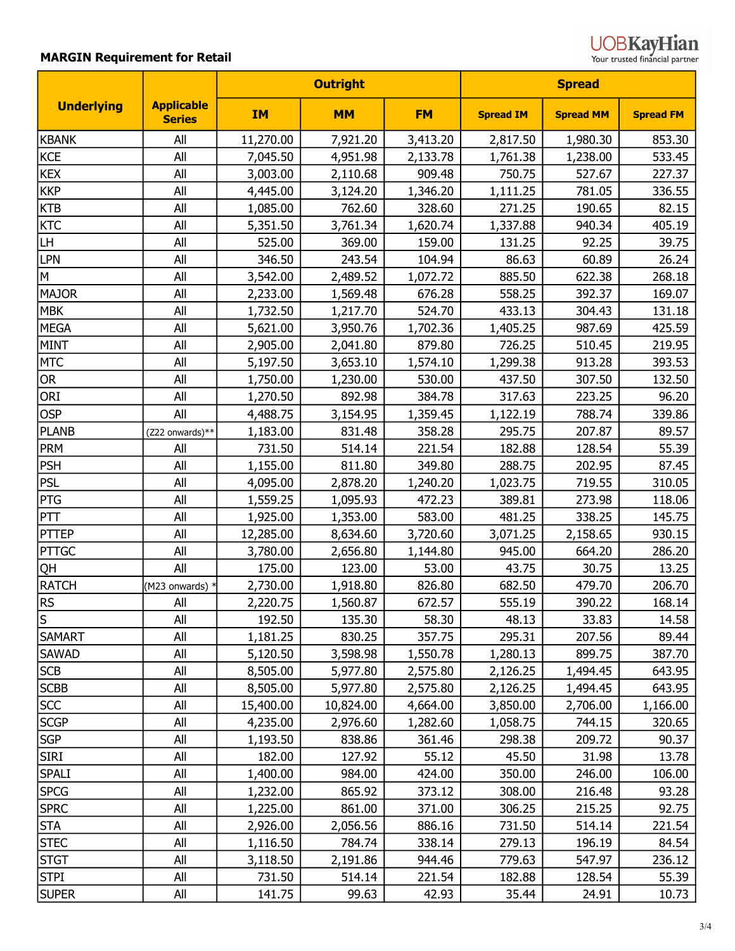| <b>UOBKayHian</b>              |  |
|--------------------------------|--|
| Your trusted financial partner |  |

|                   |                                    |           | <b>Outright</b> |           | <b>Spread</b>    |                  |                  |
|-------------------|------------------------------------|-----------|-----------------|-----------|------------------|------------------|------------------|
| <b>Underlying</b> | <b>Applicable</b><br><b>Series</b> | <b>IM</b> | <b>MM</b>       | <b>FM</b> | <b>Spread IM</b> | <b>Spread MM</b> | <b>Spread FM</b> |
| KBANK             | All                                | 11,270.00 | 7,921.20        | 3,413.20  | 2,817.50         | 1,980.30         | 853.30           |
| <b>KCE</b>        | All                                | 7,045.50  | 4,951.98        | 2,133.78  | 1,761.38         | 1,238.00         | 533.45           |
| <b>KEX</b>        | All                                | 3,003.00  | 2,110.68        | 909.48    | 750.75           | 527.67           | 227.37           |
| <b>KKP</b>        | All                                | 4,445.00  | 3,124.20        | 1,346.20  | 1,111.25         | 781.05           | 336.55           |
| <b>KTB</b>        | All                                | 1,085.00  | 762.60          | 328.60    | 271.25           | 190.65           | 82.15            |
| <b>KTC</b>        | All                                | 5,351.50  | 3,761.34        | 1,620.74  | 1,337.88         | 940.34           | 405.19           |
| LH                | All                                | 525.00    | 369.00          | 159.00    | 131.25           | 92.25            | 39.75            |
| <b>LPN</b>        | All                                | 346.50    | 243.54          | 104.94    | 86.63            | 60.89            | 26.24            |
| M                 | All                                | 3,542.00  | 2,489.52        | 1,072.72  | 885.50           | 622.38           | 268.18           |
| <b>MAJOR</b>      | All                                | 2,233.00  | 1,569.48        | 676.28    | 558.25           | 392.37           | 169.07           |
| <b>MBK</b>        | All                                | 1,732.50  | 1,217.70        | 524.70    | 433.13           | 304.43           | 131.18           |
| <b>MEGA</b>       | All                                | 5,621.00  | 3,950.76        | 1,702.36  | 1,405.25         | 987.69           | 425.59           |
| <b>MINT</b>       | All                                | 2,905.00  | 2,041.80        | 879.80    | 726.25           | 510.45           | 219.95           |
| <b>MTC</b>        | All                                | 5,197.50  | 3,653.10        | 1,574.10  | 1,299.38         | 913.28           | 393.53           |
| OR                | All                                | 1,750.00  | 1,230.00        | 530.00    | 437.50           | 307.50           | 132.50           |
| ORI               | All                                | 1,270.50  | 892.98          | 384.78    | 317.63           | 223.25           | 96.20            |
| <b>OSP</b>        | All                                | 4,488.75  | 3,154.95        | 1,359.45  | 1,122.19         | 788.74           | 339.86           |
| <b>PLANB</b>      | (Z22 onwards)**                    | 1,183.00  | 831.48          | 358.28    | 295.75           | 207.87           | 89.57            |
| <b>PRM</b>        | All                                | 731.50    | 514.14          | 221.54    | 182.88           | 128.54           | 55.39            |
| <b>PSH</b>        | All                                | 1,155.00  | 811.80          | 349.80    | 288.75           | 202.95           | 87.45            |
| <b>PSL</b>        | All                                | 4,095.00  | 2,878.20        | 1,240.20  | 1,023.75         | 719.55           | 310.05           |
| PTG               | All                                | 1,559.25  | 1,095.93        | 472.23    | 389.81           | 273.98           | 118.06           |
| PTT               | All                                | 1,925.00  | 1,353.00        | 583.00    | 481.25           | 338.25           | 145.75           |
| <b>PTTEP</b>      | All                                | 12,285.00 | 8,634.60        | 3,720.60  | 3,071.25         | 2,158.65         | 930.15           |
| PTTGC             | All                                | 3,780.00  | 2,656.80        | 1,144.80  | 945.00           | 664.20           | 286.20           |
| <b>QH</b>         | All                                | 175.00    | 123.00          | 53.00     | 43.75            | 30.75            | 13.25            |
| <b>RATCH</b>      | (M23 onwards)                      | 2,730.00  | 1,918.80        | 826.80    | 682.50           | 479.70           | 206.70           |
| <b>RS</b>         | All                                | 2,220.75  | 1,560.87        | 672.57    | 555.19           | 390.22           | 168.14           |
| ls                | All                                | 192.50    | 135.30          | 58.30     | 48.13            | 33.83            | 14.58            |
| <b>SAMART</b>     | All                                | 1,181.25  | 830.25          | 357.75    | 295.31           | 207.56           | 89.44            |
| <b>SAWAD</b>      | All                                | 5,120.50  | 3,598.98        | 1,550.78  | 1,280.13         | 899.75           | 387.70           |
| <b>SCB</b>        | All                                | 8,505.00  | 5,977.80        | 2,575.80  | 2,126.25         | 1,494.45         | 643.95           |
| <b>SCBB</b>       | All                                | 8,505.00  | 5,977.80        | 2,575.80  | 2,126.25         | 1,494.45         | 643.95           |
| <b>SCC</b>        | All                                | 15,400.00 | 10,824.00       | 4,664.00  | 3,850.00         | 2,706.00         | 1,166.00         |
| <b>SCGP</b>       | All                                | 4,235.00  | 2,976.60        | 1,282.60  | 1,058.75         | 744.15           | 320.65           |
| <b>SGP</b>        | All                                | 1,193.50  | 838.86          | 361.46    | 298.38           | 209.72           | 90.37            |
| SIRI              | All                                | 182.00    | 127.92          | 55.12     | 45.50            | 31.98            | 13.78            |
| <b>SPALI</b>      | All                                | 1,400.00  | 984.00          | 424.00    | 350.00           | 246.00           | 106.00           |
| <b>SPCG</b>       | All                                | 1,232.00  | 865.92          | 373.12    | 308.00           | 216.48           | 93.28            |
| <b>SPRC</b>       | All                                | 1,225.00  | 861.00          | 371.00    | 306.25           | 215.25           | 92.75            |
| <b>STA</b>        | All                                | 2,926.00  | 2,056.56        | 886.16    | 731.50           | 514.14           | 221.54           |
| <b>STEC</b>       | All                                | 1,116.50  | 784.74          | 338.14    | 279.13           | 196.19           | 84.54            |
| <b>STGT</b>       | All                                | 3,118.50  | 2,191.86        | 944.46    | 779.63           | 547.97           | 236.12           |
| stpi              | All                                | 731.50    | 514.14          | 221.54    | 182.88           | 128.54           | 55.39            |
| Super             | All                                | 141.75    | 99.63           | 42.93     | 35.44            | 24.91            | 10.73            |